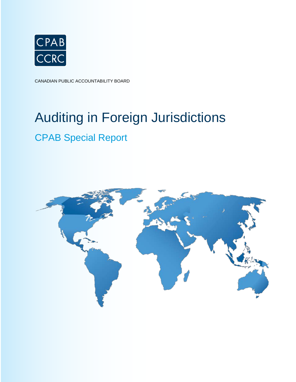

CANADIAN PUBLIC ACCOUNTABILITY BOARD

# Auditing in Foreign Jurisdictions

# CPAB Special Report

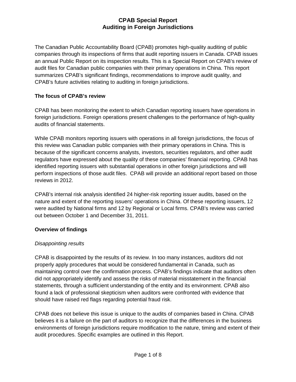The Canadian Public Accountability Board (CPAB) promotes high-quality auditing of public companies through its inspections of firms that audit reporting issuers in Canada. CPAB issues an annual Public Report on its inspection results. This is a Special Report on CPAB's review of audit files for Canadian public companies with their primary operations in China. This report summarizes CPAB's significant findings, recommendations to improve audit quality, and CPAB's future activities relating to auditing in foreign jurisdictions.

# **The focus of CPAB's review**

CPAB has been monitoring the extent to which Canadian reporting issuers have operations in foreign jurisdictions. Foreign operations present challenges to the performance of high-quality audits of financial statements.

While CPAB monitors reporting issuers with operations in all foreign jurisdictions, the focus of this review was Canadian public companies with their primary operations in China. This is because of the significant concerns analysts, investors, securities regulators, and other audit regulators have expressed about the quality of these companies' financial reporting. CPAB has identified reporting issuers with substantial operations in other foreign jurisdictions and will perform inspections of those audit files. CPAB will provide an additional report based on those reviews in 2012.

CPAB's internal risk analysis identified 24 higher-risk reporting issuer audits, based on the nature and extent of the reporting issuers' operations in China. Of these reporting issuers, 12 were audited by National firms and 12 by Regional or Local firms. CPAB's review was carried out between October 1 and December 31, 2011.

# **Overview of findings**

# *Disappointing results*

CPAB is disappointed by the results of its review. In too many instances, auditors did not properly apply procedures that would be considered fundamental in Canada, such as maintaining control over the confirmation process. CPAB's findings indicate that auditors often did not appropriately identify and assess the risks of material misstatement in the financial statements, through a sufficient understanding of the entity and its environment. CPAB also found a lack of professional skepticism when auditors were confronted with evidence that should have raised red flags regarding potential fraud risk.

CPAB does not believe this issue is unique to the audits of companies based in China. CPAB believes it is a failure on the part of auditors to recognize that the differences in the business environments of foreign jurisdictions require modification to the nature, timing and extent of their audit procedures. Specific examples are outlined in this Report.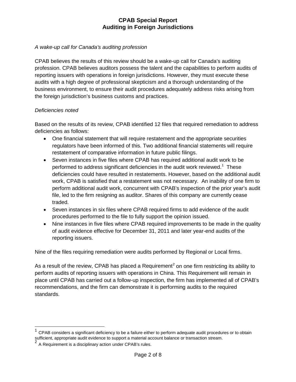#### *A wake-up call for Canada's auditing profession*

CPAB believes the results of this review should be a wake-up call for Canada's auditing profession. CPAB believes auditors possess the talent and the capabilities to perform audits of reporting issuers with operations in foreign jurisdictions. However, they must execute these audits with a high degree of professional skepticism and a thorough understanding of the business environment, to ensure their audit procedures adequately address risks arising from the foreign jurisdiction's business customs and practices.

#### *Deficiencies noted*

Based on the results of its review, CPAB identified 12 files that required remediation to address deficiencies as follows:

- One financial statement that will require restatement and the appropriate securities regulators have been informed of this. Two additional financial statements will require restatement of comparative information in future public filings.
- Seven instances in five files where CPAB has required additional audit work to be performed to address significant deficiencies in the audit work reviewed.<sup>[1](#page-2-0)</sup> These deficiencies could have resulted in restatements. However, based on the additional audit work, CPAB is satisfied that a restatement was not necessary. An inability of one firm to perform additional audit work, concurrent with CPAB's inspection of the prior year's audit file, led to the firm resigning as auditor. Shares of this company are currently cease traded.
- Seven instances in six files where CPAB required firms to add evidence of the audit procedures performed to the file to fully support the opinion issued.
- Nine instances in five files where CPAB required improvements to be made in the quality of audit evidence effective for December 31, 2011 and later year-end audits of the reporting issuers.

Nine of the files requiring remediation were audits performed by Regional or Local firms.

As a result of the review, CPAB has placed a Requirement<sup>[2](#page-2-1)</sup> on one firm restricting its ability to perform audits of reporting issuers with operations in China. This Requirement will remain in place until CPAB has carried out a follow-up inspection, the firm has implemented all of CPAB's recommendations, and the firm can demonstrate it is performing audits to the required standards.

<span id="page-2-0"></span> $1$  CPAB considers a significant deficiency to be a failure either to perform adequate audit procedures or to obtain sufficient, appropriate audit evidence to support a material account balance or transaction stream.

<span id="page-2-1"></span> $2$  A Requirement is a disciplinary action under CPAB's rules.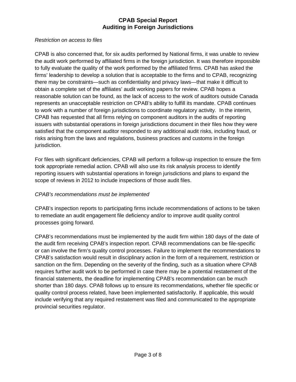#### *Restriction on access to files*

CPAB is also concerned that, for six audits performed by National firms, it was unable to review the audit work performed by affiliated firms in the foreign jurisdiction. It was therefore impossible to fully evaluate the quality of the work performed by the affiliated firms. CPAB has asked the firms' leadership to develop a solution that is acceptable to the firms and to CPAB, recognizing there may be constraints—such as confidentiality and privacy laws—that make it difficult to obtain a complete set of the affiliates' audit working papers for review. CPAB hopes a reasonable solution can be found, as the lack of access to the work of auditors outside Canada represents an unacceptable restriction on CPAB's ability to fulfill its mandate. CPAB continues to work with a number of foreign jurisdictions to coordinate regulatory activity. In the interim, CPAB has requested that all firms relying on component auditors in the audits of reporting issuers with substantial operations in foreign jurisdictions document in their files how they were satisfied that the component auditor responded to any additional audit risks, including fraud, or risks arising from the laws and regulations, business practices and customs in the foreign jurisdiction.

For files with significant deficiencies, CPAB will perform a follow-up inspection to ensure the firm took appropriate remedial action. CPAB will also use its risk analysis process to identify reporting issuers with substantial operations in foreign jurisdictions and plans to expand the scope of reviews in 2012 to include inspections of those audit files.

# *CPAB's recommendations must be implemented*

CPAB's inspection reports to participating firms include recommendations of actions to be taken to remediate an audit engagement file deficiency and/or to improve audit quality control processes going forward.

CPAB's recommendations must be implemented by the audit firm within 180 days of the date of the audit firm receiving CPAB's inspection report. CPAB recommendations can be file-specific or can involve the firm's quality control processes. Failure to implement the recommendations to CPAB's satisfaction would result in disciplinary action in the form of a requirement, restriction or sanction on the firm. Depending on the severity of the finding, such as a situation where CPAB requires further audit work to be performed in case there may be a potential restatement of the financial statements, the deadline for implementing CPAB's recommendation can be much shorter than 180 days. CPAB follows up to ensure its recommendations, whether file specific or quality control process related, have been implemented satisfactorily. If applicable, this would include verifying that any required restatement was filed and communicated to the appropriate provincial securities regulator.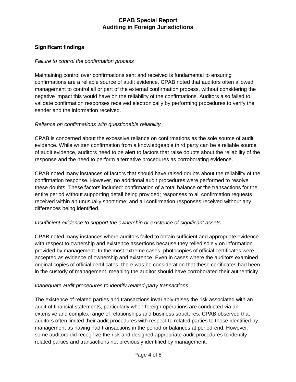# **Significant findings**

#### *Failure to control the confirmation process*

Maintaining control over confirmations sent and received is fundamental to ensuring confirmations are a reliable source of audit evidence. CPAB noted that auditors often allowed management to control all or part of the external confirmation process, without considering the negative impact this would have on the reliability of the confirmations. Auditors also failed to validate confirmation responses received electronically by performing procedures to verify the sender and the information received.

# *Reliance on confirmations with questionable reliability*

CPAB is concerned about the excessive reliance on confirmations as the sole source of audit evidence. While written confirmation from a knowledgeable third party can be a reliable source of audit evidence, auditors need to be alert to factors that raise doubts about the reliability of the response and the need to perform alternative procedures as corroborating evidence.

CPAB noted many instances of factors that should have raised doubts about the reliability of the confirmation response. However, no additional audit procedures were performed to resolve these doubts. These factors included: confirmation of a total balance or the transactions for the entire period without supporting detail being provided; responses to all confirmation requests received within an unusually short time; and all confirmation responses received without any differences being identified.

#### *Insufficient evidence to support the ownership or existence of significant assets*

CPAB noted many instances where auditors failed to obtain sufficient and appropriate evidence with respect to ownership and existence assertions because they relied solely on information provided by management. In the most extreme cases, photocopies of official certificates were accepted as evidence of ownership and existence. Even in cases where the auditors examined original copies of official certificates, there was no consideration that these certificates had been in the custody of management, meaning the auditor should have corroborated their authenticity.

#### *Inadequate audit procedures to identify related-party transactions*

The existence of related parties and transactions invariably raises the risk associated with an audit of financial statements, particularly when foreign operations are conducted via an extensive and complex range of relationships and business structures. CPAB observed that auditors often limited their audit procedures with respect to related parties to those identified by management as having had transactions in the period or balances at period-end. However, some auditors did recognize the risk and designed appropriate audit procedures to identify related parties and transactions not previously identified by management.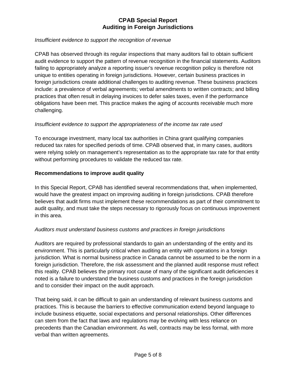#### *Insufficient evidence to support the recognition of revenue*

CPAB has observed through its regular inspections that many auditors fail to obtain sufficient audit evidence to support the pattern of revenue recognition in the financial statements. Auditors failing to appropriately analyze a reporting issuer's revenue recognition policy is therefore not unique to entities operating in foreign jurisdictions. However, certain business practices in foreign jurisdictions create additional challenges to auditing revenue. These business practices include: a prevalence of verbal agreements; verbal amendments to written contracts; and billing practices that often result in delaying invoices to defer sales taxes, even if the performance obligations have been met. This practice makes the aging of accounts receivable much more challenging.

# *Insufficient evidence to support the appropriateness of the income tax rate used*

To encourage investment, many local tax authorities in China grant qualifying companies reduced tax rates for specified periods of time. CPAB observed that, in many cases, auditors were relying solely on management's representation as to the appropriate tax rate for that entity without performing procedures to validate the reduced tax rate.

#### **Recommendations to improve audit quality**

In this Special Report, CPAB has identified several recommendations that, when implemented, would have the greatest impact on improving auditing in foreign jurisdictions. CPAB therefore believes that audit firms must implement these recommendations as part of their commitment to audit quality, and must take the steps necessary to rigorously focus on continuous improvement in this area.

# *Auditors must understand business customs and practices in foreign jurisdictions*

Auditors are required by professional standards to gain an understanding of the entity and its environment. This is particularly critical when auditing an entity with operations in a foreign jurisdiction. What is normal business practice in Canada cannot be assumed to be the norm in a foreign jurisdiction. Therefore, the risk assessment and the planned audit response must reflect this reality. CPAB believes the primary root cause of many of the significant audit deficiencies it noted is a failure to understand the business customs and practices in the foreign jurisdiction and to consider their impact on the audit approach.

That being said, it can be difficult to gain an understanding of relevant business customs and practices. This is because the barriers to effective communication extend beyond language to include business etiquette, social expectations and personal relationships. Other differences can stem from the fact that laws and regulations may be evolving with less reliance on precedents than the Canadian environment. As well, contracts may be less formal, with more verbal than written agreements.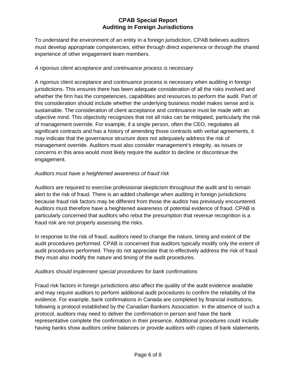To understand the environment of an entity in a foreign jurisdiction, CPAB believes auditors must develop appropriate competencies, either through direct experience or through the shared experience of other engagement team members.

# *A rigorous client acceptance and continuance process is necessary*

A rigorous client acceptance and continuance process is necessary when auditing in foreign jurisdictions. This ensures there has been adequate consideration of all the risks involved and whether the firm has the competencies, capabilities and resources to perform the audit. Part of this consideration should include whether the underlying business model makes sense and is sustainable. The consideration of client acceptance and continuance must be made with an objective mind. This objectivity recognizes that not all risks can be mitigated, particularly the risk of management override. For example, if a single person, often the CEO, negotiates all significant contracts and has a history of amending those contracts with verbal agreements, it may indicate that the governance structure does not adequately address the risk of management override. Auditors must also consider management's integrity, as issues or concerns in this area would most likely require the auditor to decline or discontinue the engagement.

# *Auditors must have a heightened awareness of fraud risk*

Auditors are required to exercise professional skepticism throughout the audit and to remain alert to the risk of fraud. There is an added challenge when auditing in foreign jurisdictions because fraud risk factors may be different from those the auditor has previously encountered. Auditors must therefore have a heightened awareness of potential evidence of fraud. CPAB is particularly concerned that auditors who rebut the presumption that revenue recognition is a fraud risk are not properly assessing the risks.

In response to the risk of fraud, auditors need to change the nature, timing and extent of the audit procedures performed. CPAB is concerned that auditors typically modify only the extent of audit procedures performed. They do not appreciate that to effectively address the risk of fraud they must also modify the nature and timing of the audit procedures.

# *Auditors should implement special procedures for bank confirmations*

Fraud risk factors in foreign jurisdictions also affect the quality of the audit evidence available and may require auditors to perform additional audit procedures to confirm the reliability of the evidence. For example, bank confirmations in Canada are completed by financial institutions, following a protocol established by the Canadian Bankers Association. In the absence of such a protocol, auditors may need to deliver the confirmation in person and have the bank representative complete the confirmation in their presence. Additional procedures could include having banks show auditors online balances or provide auditors with copies of bank statements.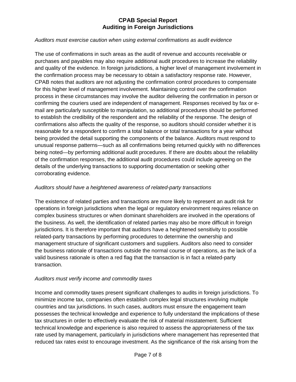#### *Auditors must exercise caution when using external confirmations as audit evidence*

The use of confirmations in such areas as the audit of revenue and accounts receivable or purchases and payables may also require additional audit procedures to increase the reliability and quality of the evidence. In foreign jurisdictions, a higher level of management involvement in the confirmation process may be necessary to obtain a satisfactory response rate. However, CPAB notes that auditors are not adjusting the confirmation control procedures to compensate for this higher level of management involvement. Maintaining control over the confirmation process in these circumstances may involve the auditor delivering the confirmation in person or confirming the couriers used are independent of management. Responses received by fax or email are particularly susceptible to manipulation, so additional procedures should be performed to establish the credibility of the respondent and the reliability of the response. The design of confirmations also affects the quality of the response, so auditors should consider whether it is reasonable for a respondent to confirm a total balance or total transactions for a year without being provided the detail supporting the components of the balance. Auditors must respond to unusual response patterns—such as all confirmations being returned quickly with no differences being noted—by performing additional audit procedures. If there are doubts about the reliability of the confirmation responses, the additional audit procedures could include agreeing on the details of the underlying transactions to supporting documentation or seeking other corroborating evidence.

# *Auditors should have a heightened awareness of related-party transactions*

The existence of related parties and transactions are more likely to represent an audit risk for operations in foreign jurisdictions when the legal or regulatory environment requires reliance on complex business structures or when dominant shareholders are involved in the operations of the business. As well, the identification of related parties may also be more difficult in foreign jurisdictions. It is therefore important that auditors have a heightened sensitivity to possible related-party transactions by performing procedures to determine the ownership and management structure of significant customers and suppliers. Auditors also need to consider the business rationale of transactions outside the normal course of operations, as the lack of a valid business rationale is often a red flag that the transaction is in fact a related-party transaction.

# *Auditors must verify income and commodity taxes*

Income and commodity taxes present significant challenges to audits in foreign jurisdictions. To minimize income tax, companies often establish complex legal structures involving multiple countries and tax jurisdictions. In such cases, auditors must ensure the engagement team possesses the technical knowledge and experience to fully understand the implications of these tax structures in order to effectively evaluate the risk of material misstatement. Sufficient technical knowledge and experience is also required to assess the appropriateness of the tax rate used by management, particularly in jurisdictions where management has represented that reduced tax rates exist to encourage investment. As the significance of the risk arising from the